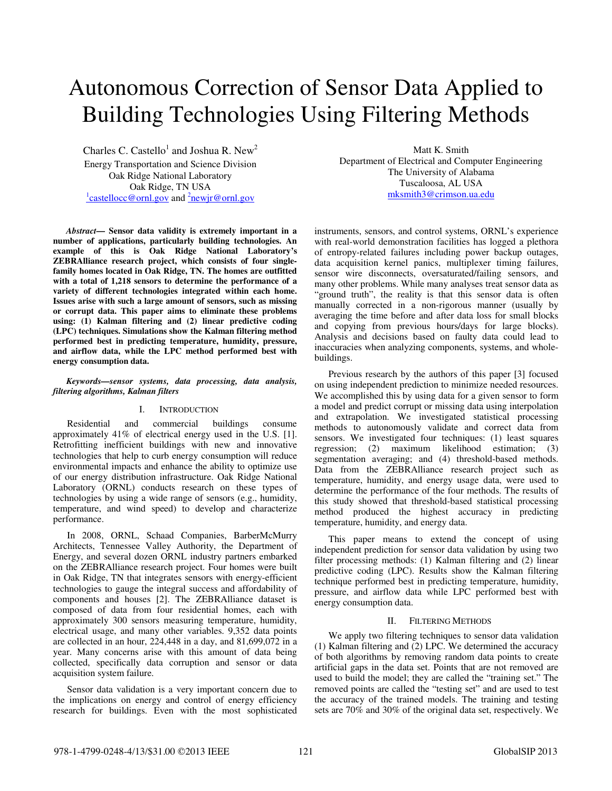# Autonomous Correction of Sensor Data Applied to Building Technologies Using Filtering Methods

Charles C. Castello<sup>1</sup> and Joshua R. New<sup>2</sup> Energy Transportation and Science Division Oak Ridge National Laboratory Oak Ridge, TN USA  $\frac{1}{2}$ castellocc@ornl.gov and  $\frac{2}{2}$ newjr@ornl.gov

*Abstract***— Sensor data validity is extremely important in a number of applications, particularly building technologies. An example of this is Oak Ridge National Laboratory's ZEBRAlliance research project, which consists of four singlefamily homes located in Oak Ridge, TN. The homes are outfitted with a total of 1,218 sensors to determine the performance of a variety of different technologies integrated within each home. Issues arise with such a large amount of sensors, such as missing or corrupt data. This paper aims to eliminate these problems using: (1) Kalman filtering and (2) linear predictive coding (LPC) techniques. Simulations show the Kalman filtering method performed best in predicting temperature, humidity, pressure, and airflow data, while the LPC method performed best with energy consumption data.**

## *Keywords—sensor systems, data processing, data analysis, filtering algorithms, Kalman filters*

## I. INTRODUCTION

Residential and commercial buildings consume approximately 41% of electrical energy used in the U.S. [1]. Retrofitting inefficient buildings with new and innovative technologies that help to curb energy consumption will reduce environmental impacts and enhance the ability to optimize use of our energy distribution infrastructure. Oak Ridge National Laboratory (ORNL) conducts research on these types of technologies by using a wide range of sensors (e.g., humidity, temperature, and wind speed) to develop and characterize performance.

In 2008, ORNL, Schaad Companies, BarberMcMurry Architects, Tennessee Valley Authority, the Department of Energy, and several dozen ORNL industry partners embarked on the ZEBRAlliance research project. Four homes were built in Oak Ridge, TN that integrates sensors with energy-efficient technologies to gauge the integral success and affordability of components and houses [2]. The ZEBRAlliance dataset is composed of data from four residential homes, each with approximately 300 sensors measuring temperature, humidity, electrical usage, and many other variables. 9,352 data points are collected in an hour, 224,448 in a day, and 81,699,072 in a year. Many concerns arise with this amount of data being collected, specifically data corruption and sensor or data acquisition system failure.

Sensor data validation is a very important concern due to the implications on energy and control of energy efficiency research for buildings. Even with the most sophisticated

Matt K. Smith Department of Electrical and Computer Engineering The University of Alabama Tuscaloosa, AL USA mksmith3@crimson.ua.edu

instruments, sensors, and control systems, ORNL's experience with real-world demonstration facilities has logged a plethora of entropy-related failures including power backup outages, data acquisition kernel panics, multiplexer timing failures, sensor wire disconnects, oversaturated/failing sensors, and many other problems. While many analyses treat sensor data as "ground truth", the reality is that this sensor data is often manually corrected in a non-rigorous manner (usually by averaging the time before and after data loss for small blocks and copying from previous hours/days for large blocks). Analysis and decisions based on faulty data could lead to inaccuracies when analyzing components, systems, and wholebuildings.

Previous research by the authors of this paper [3] focused on using independent prediction to minimize needed resources. We accomplished this by using data for a given sensor to form a model and predict corrupt or missing data using interpolation and extrapolation. We investigated statistical processing methods to autonomously validate and correct data from sensors. We investigated four techniques: (1) least squares regression; (2) maximum likelihood estimation; (3) segmentation averaging; and (4) threshold-based methods. Data from the ZEBRAlliance research project such as temperature, humidity, and energy usage data, were used to determine the performance of the four methods. The results of this study showed that threshold-based statistical processing method produced the highest accuracy in predicting temperature, humidity, and energy data.

This paper means to extend the concept of using independent prediction for sensor data validation by using two filter processing methods: (1) Kalman filtering and (2) linear predictive coding (LPC). Results show the Kalman filtering technique performed best in predicting temperature, humidity, pressure, and airflow data while LPC performed best with energy consumption data.

## II. FILTERING METHODS

We apply two filtering techniques to sensor data validation (1) Kalman filtering and (2) LPC. We determined the accuracy of both algorithms by removing random data points to create artificial gaps in the data set. Points that are not removed are used to build the model; they are called the "training set." The removed points are called the "testing set" and are used to test the accuracy of the trained models. The training and testing sets are 70% and 30% of the original data set, respectively. We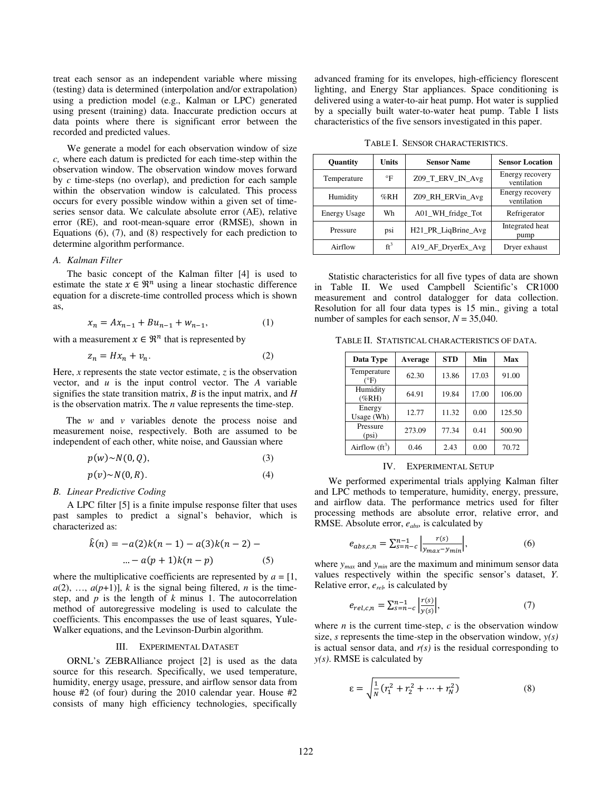treat each sensor as an independent variable where missing (testing) data is determined (interpolation and/or extrapolation) using a prediction model (e.g., Kalman or LPC) generated using present (training) data. Inaccurate prediction occurs at data points where there is significant error between the recorded and predicted values.

We generate a model for each observation window of size *c,* where each datum is predicted for each time-step within the observation window. The observation window moves forward by *c* time-steps (no overlap), and prediction for each sample within the observation window is calculated. This process occurs for every possible window within a given set of timeseries sensor data. We calculate absolute error (AE), relative error (RE), and root-mean-square error (RMSE), shown in Equations (6), (7), and (8) respectively for each prediction to determine algorithm performance.

#### *A. Kalman Filter*

The basic concept of the Kalman filter [4] is used to estimate the state  $x \in \mathbb{R}^n$  using a linear stochastic difference equation for a discrete-time controlled process which is shown as,

$$
x_n = Ax_{n-1} + Bu_{n-1} + w_{n-1},
$$
 (1)

with a measurement  $x \in \mathbb{R}^n$  that is represented by

$$
z_n = Hx_n + v_n. \tag{2}
$$

Here, *x* represents the state vector estimate, *z* is the observation vector, and *u* is the input control vector. The *A* variable signifies the state transition matrix, *B* is the input matrix, and *H* is the observation matrix. The *n* value represents the time-step.

The *w* and *v* variables denote the process noise and measurement noise, respectively. Both are assumed to be independent of each other, white noise, and Gaussian where

$$
p(w) \sim N(0, Q), \tag{3}
$$

$$
p(v) \sim N(0, R). \tag{4}
$$

#### *B. Linear Predictive Coding*

A LPC filter [5] is a finite impulse response filter that uses past samples to predict a signal's behavior, which is characterized as:

$$
\hat{k}(n) = -a(2)k(n-1) - a(3)k(n-2) - \dots - a(p+1)k(n-p) \tag{5}
$$

where the multiplicative coefficients are represented by  $a = [1, 1]$  $a(2), \ldots, a(p+1)$ , *k* is the signal being filtered, *n* is the timestep, and *p* is the length of *k* minus 1. The autocorrelation method of autoregressive modeling is used to calculate the coefficients. This encompasses the use of least squares, Yule-Walker equations, and the Levinson-Durbin algorithm.

#### III. EXPERIMENTAL DATASET

ORNL's ZEBRAlliance project [2] is used as the data source for this research. Specifically, we used temperature, humidity, energy usage, pressure, and airflow sensor data from house #2 (of four) during the 2010 calendar year. House #2 consists of many high efficiency technologies, specifically advanced framing for its envelopes, high-efficiency florescent lighting, and Energy Star appliances. Space conditioning is delivered using a water-to-air heat pump. Hot water is supplied by a specially built water-to-water heat pump. Table I lists characteristics of the five sensors investigated in this paper.

TABLE I. SENSOR CHARACTERISTICS.

| <b>Ouantity</b>     | Units           | <b>Sensor Name</b>  | <b>Sensor Location</b>         |  |  |  |
|---------------------|-----------------|---------------------|--------------------------------|--|--|--|
| Temperature         | $\mathsf{P}$    | Z09_T_ERV_IN_Avg    | Energy recovery<br>ventilation |  |  |  |
| Humidity            | %RH             | Z09_RH_ERVin_Avg    | Energy recovery<br>ventilation |  |  |  |
| <b>Energy Usage</b> | Wh              | A01_WH_fridge_Tot   | Refrigerator                   |  |  |  |
| Pressure            | psi             | H21_PR_LiqBrine_Avg | Integrated heat<br>pump        |  |  |  |
| Airflow             | ft <sup>3</sup> | A19_AF_DryerEx_Avg  | Dryer exhaust                  |  |  |  |

Statistic characteristics for all five types of data are shown in Table II. We used Campbell Scientific's CR1000 measurement and control datalogger for data collection. Resolution for all four data types is 15 min., giving a total number of samples for each sensor, *N* = 35,040.

TABLE II. STATISTICAL CHARACTERISTICS OF DATA.

| Data Type            | Average | <b>STD</b> | Min   | Max    |
|----------------------|---------|------------|-------|--------|
| Temperature<br>(°F)  | 62.30   | 13.86      | 17.03 | 91.00  |
| Humidity<br>$(\%RH)$ | 64.91   | 19.84      | 17.00 | 106.00 |
| Energy<br>Usage (Wh) | 12.77   | 11.32      | 0.00  | 125.50 |
| Pressure<br>(psi)    | 273.09  | 77.34      | 0.41  | 500.90 |
| Airflow $(ft^3)$     | 0.46    | 2.43       | 0.00  | 70.72  |

## IV. EXPERIMENTAL SETUP

We performed experimental trials applying Kalman filter and LPC methods to temperature, humidity, energy, pressure, and airflow data. The performance metrics used for filter processing methods are absolute error, relative error, and RMSE. Absolute error, *eabs,* is calculated by

$$
e_{abs,c,n} = \sum_{s=n-c}^{n-1} \left| \frac{r(s)}{y_{max} - y_{min}} \right|,
$$
 (6)

where *ymax* and *ymin* are the maximum and minimum sensor data values respectively within the specific sensor's dataset, *Y*. Relative error, *erel,* is calculated by

$$
e_{rel,c,n} = \sum_{s=n-c}^{n-1} \left| \frac{r(s)}{y(s)} \right|,\tag{7}
$$

where  $n$  is the current time-step,  $c$  is the observation window size, *s* represents the time-step in the observation window,  $y(s)$ is actual sensor data, and  $r(s)$  is the residual corresponding to *y(s)*. RMSE is calculated by

$$
\varepsilon = \sqrt{\frac{1}{N} (r_1^2 + r_2^2 + \dots + r_N^2)}
$$
 (8)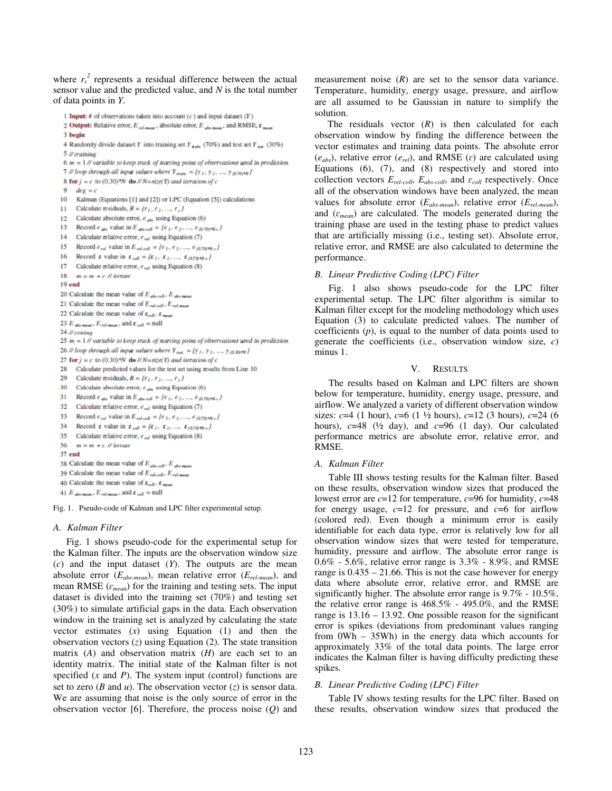where  $r_s^2$  represents a residual difference between the actual sensor value and the predicted value, and *N* is the total number of data points in *Y*.

```
1 Input: # of observations taken into account (c) and input dataset (Y)
```

```
2 Output: Relative error, E_{rel-mem}, absolute error, E_{abs-mem}, and RMSE, \varepsilon_{max}
```

```
3 begin
```

```
4 Randomly divide dataset Y into training set Y_{\text{train}} (70%) and test set Y_{\text{test}} (30%)
5 // training
```

```
6 m = 1 // variable to keep track of starting point of observations used in prediction
```

```
7 // loop through all input values where Y_{train} = \{y_1, y_2, ..., y_{(0.70) \cdot N}\}
```

```
8 for j = c to (0.30)*N do //N=size(Y) and iteration of c
```

```
9 deg = c10
     Kalman (Equations [1] and [2]) or LPC (Equation [5]) calculations
```

```
11 Calculate residuals, R = \{r_1, r_2, ..., r_c\}
```

```
12 Calculate absolute error, e_{abx} using Equation (6)
```

```
13
        Record \epsilon_{abs} value in E_{abscoll} = \{e_1, e_2, ..., e_{i0.70\mu Nc}\}\
```

```
14 Calculate relative error, e_{rel} using Equation (7)
```

```
15<sup>7</sup>Record \epsilon_{rel} value in E_{rel-coll} = \{e_1, e_2, ..., e_{(0.70)*N-c}\}
```

```
Record \epsilon value in \epsilon_{coll} = {\epsilon_1, \epsilon_2, ..., \epsilon_{(070)W-v}}16
```

```
17 Calculate relative error, e_{rel} using Equation (8)
```

```
18 m = m + c // iterate
```

```
19 end
```

```
20 Calculate the mean value of E_{abx coll}, E_{abx,mean}
```

```
21 Calculate the mean value of E_{rel-coll}, E_{rel-mem}
```

```
22 Calculate the mean value of \varepsilon_{coll}, \varepsilon_{mean}
```

```
23 E _{abr-mear} , E_{rel-mear} , and \varepsilon _{coll} = null
```

```
24 // testing
```

```
25 m = 1 // variable to keep track of starting point of observations used in prediction
```

```
26 // loop through all input values where Y_{test} = {y_1, y_2, ..., y_{(0.30) \cdot N}}}27 for j = c to (0.30)*N do //N=size(Y) and iteration of c
```

```
28 Calculate predicted values for the test set using results from Line 10
```

```
29 Calculate residuals, R = {r_1, r_2, ..., r_c}
```

```
30 Calculate absolute error, e_{abx} using Equation (6)
```

```
31 Record e_{abs} value in E_{abscoll} = \{e_1, e_2, ..., e_{(0.70)^4 Nc}\}
```

```
32 Calculate relative error, \epsilon_{rel} using Equation (7)
33
         Record \epsilon_{rel} value in E_{rel-coll} = \{ \epsilon_1, \epsilon_2, ..., \epsilon_{(0.70) \cdot \text{N-c}} \}
```

```
34
         Record \epsilon value in \epsilon_{coll} = {\epsilon_1, \epsilon_2, ..., \epsilon_{(0.70)W-v}}
```

```
35 Calculate relative error, e_{rel} using Equation (8)
```

```
36 m = m + c // iterate
```

```
37 end
```

```
38 Calculate the mean value of E_{abx coll}, E_{abx-max}39 Calculate the mean value of E_{relcoll}, E_{rel-mam}
```

```
40 Calculate the mean value of \varepsilon_{coll}, \varepsilon_{mean}
```

```
41 E absences , E rel-mean , and \varepsilon coll = null
```
Fig. 1. Pseudo-code of Kalman and LPC filter experimental setup.

# *A. Kalman Filter*

Fig. 1 shows pseudo-code for the experimental setup for the Kalman filter. The inputs are the observation window size (*c*) and the input dataset (*Y*). The outputs are the mean absolute error (*Eabs-mean*), mean relative error (*Erel-mean*), and mean RMSE  $(\varepsilon_{mean})$  for the training and testing sets. The input dataset is divided into the training set (70%) and testing set (30%) to simulate artificial gaps in the data. Each observation window in the training set is analyzed by calculating the state vector estimates (*x*) using Equation (1) and then the observation vectors (*z*) using Equation (2). The state transition matrix (*A*) and observation matrix (*H*) are each set to an identity matrix. The initial state of the Kalman filter is not specified (*x* and *P*). The system input (control) functions are set to zero ( $B$  and  $u$ ). The observation vector ( $z$ ) is sensor data. We are assuming that noise is the only source of error in the observation vector [6]. Therefore, the process noise (*Q*) and measurement noise  $(R)$  are set to the sensor data variance. Temperature, humidity, energy usage, pressure, and airflow are all assumed to be Gaussian in nature to simplify the solution.

The residuals vector (*R*) is then calculated for each observation window by finding the difference between the vector estimates and training data points. The absolute error  $(e_{abs})$ , relative error  $(e_{rel})$ , and RMSE  $(\varepsilon)$  are calculated using Equations (6), (7), and (8) respectively and stored into collection vectors  $E_{rel-coll}$ ,  $E_{abs-coll}$ , and  $\varepsilon_{coll}$  respectively. Once all of the observation windows have been analyzed, the mean values for absolute error (*Eabs-mean*), relative error (*Erel-mean*), and  $(\varepsilon_{mean})$  are calculated. The models generated during the training phase are used in the testing phase to predict values that are artificially missing (i.e., testing set). Absolute error, relative error, and RMSE are also calculated to determine the performance.

# *B. Linear Predictive Coding (LPC) Filter*

Fig. 1 also shows pseudo-code for the LPC filter experimental setup. The LPC filter algorithm is similar to Kalman filter except for the modeling methodology which uses Equation (3) to calculate predicted values. The number of coefficients (*p*), is equal to the number of data points used to generate the coefficients (i.e., observation window size, *c*) minus 1.

## V. RESULTS

The results based on Kalman and LPC filters are shown below for temperature, humidity, energy usage, pressure, and airflow. We analyzed a variety of different observation window sizes: *c*=4 (1 hour), *c*=6 (1 ½ hours), *c*=12 (3 hours), *c*=24 (6 hours),  $c=48$  ( $\frac{1}{2}$  day), and  $c=96$  (1 day). Our calculated performance metrics are absolute error, relative error, and RMSE.

# *A. Kalman Filter*

Table III shows testing results for the Kalman filter. Based on these results, observation window sizes that produced the lowest error are *c*=12 for temperature, *c*=96 for humidity, *c*=48 for energy usage, *c*=12 for pressure, and *c*=6 for airflow (colored red). Even though a minimum error is easily identifiable for each data type, error is relatively low for all observation window sizes that were tested for temperature, humidity, pressure and airflow. The absolute error range is 0.6% - 5.6%, relative error range is 3.3% - 8.9%, and RMSE range is 0.435 – 21.66. This is not the case however for energy data where absolute error, relative error, and RMSE are significantly higher. The absolute error range is 9.7% - 10.5%, the relative error range is 468.5% - 495.0%, and the RMSE range is 13.16 – 13.92. One possible reason for the significant error is spikes (deviations from predominant values ranging from 0Wh – 35Wh) in the energy data which accounts for approximately 33% of the total data points. The large error indicates the Kalman filter is having difficulty predicting these spikes.

# *B. Linear Predictive Coding (LPC) Filter*

Table IV shows testing results for the LPC filter. Based on these results, observation window sizes that produced the